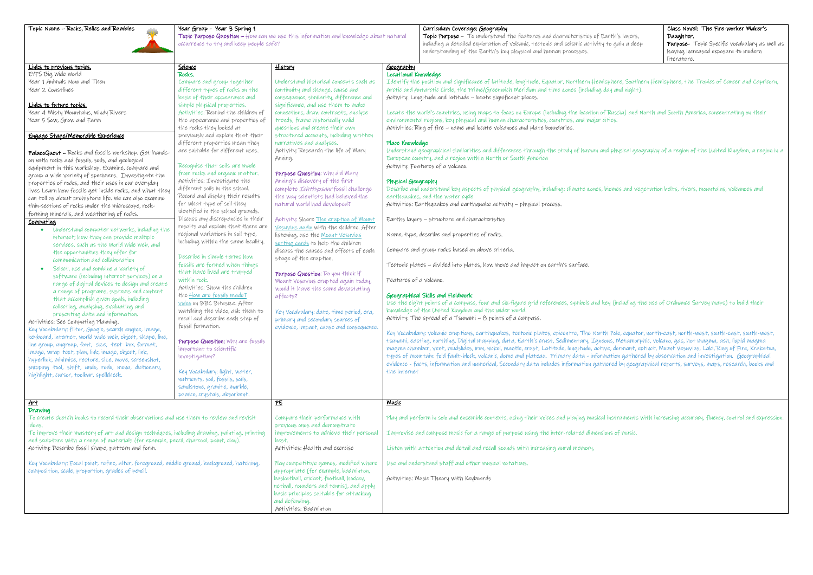Topic Purpose Question – How can we use this information and knowledge about natural occurrence to try and keep people safe?

## Curriculum Coverage: Geography

Topic Purpose – To understand the features and characteristics of Earth including a detailed exploration of volcanic, tectonic and seismic activity to a understanding of the Earth's key physical and human processes.

|             | Class Novel: The Fire-worker Maker's                 |  |
|-------------|------------------------------------------------------|--|
| n's layers, | Daughter.                                            |  |
| gain a deep | <b>Purpose-</b> Topic Specific vocabulary as well as |  |
|             | having increased exposure to modern                  |  |
|             | literature.                                          |  |

Iere, Southern Hemisphere, the Tropics of Cancer and Capricorn, and night).

ssia) and North and South America, concentrating on their

hysical geography of a region of the United Kingdom, a region in a

nes and vegetation belts, rivers, mountains, volcanoes and

including the use of Ordnance Survey maps) to build their

 $\delta$ le, equator, north-east, north-west, south-east, south-west, north Metamorphic, Volcano, gas, hot magma, ash, liquid magma emagma chamber, mudslides, Latitude, Pantler, Krakatoa, longitude, mantle, extinct, Mount Vesuvius, Laki, Ring of Fire, Krakatoa, on gathered by observation and investigation. Geographical l by geographical reports, surveys, maps, research, books and

truments with increasing accuracy, fluency, control and expression.

| Links to previous topics.                                                                    | Science                                                             | <u>History</u>                               | <u>Geography</u>                                                                                                                        |
|----------------------------------------------------------------------------------------------|---------------------------------------------------------------------|----------------------------------------------|-----------------------------------------------------------------------------------------------------------------------------------------|
| EYFS Big Wide World                                                                          | Rocks.                                                              | Understand historical concepts such as       | Locational Knowledge<br>Identify the position and significance of latitude, longitude, Equator, Northern Hemisphere, Sont               |
| Year 1 Animals Now and Then<br>Year 2 Coastlines                                             | Compare and group together<br>different types of rocks on the       | continuity and change, cause and             | Arctic and Antarctic Circle, the Prime/Greenwich Meridian and time zones (including day and night                                       |
|                                                                                              | basic of their appearance and                                       | consequence, similarity, difference and      | Activity: Longitude and latitude - locate significant places.                                                                           |
| Links to future topics.                                                                      | simple physical properties.                                         | significance, and use them to make           |                                                                                                                                         |
| Year 4 Misty Mountains, Windy Rivers                                                         | Activities: Remind the children of                                  | connections, draw contrasts, analyse         | Locate the world's countries, using maps to focus on Europe (including the location of Russia) and                                      |
| Year 5 Sow, Grow and Farm                                                                    | the appearance and properties of                                    | trends, frame historically valid             | environmental regions, key physical and human characteristics, countries, and major cities.                                             |
|                                                                                              | the rocks they looked at                                            | questions and create their own               | Activities: Ring of fire – name and locate volcanoes and plate boundaries.                                                              |
| Engage Stage/Memorable Experience                                                            | previously and explain that their                                   | structured accounts, including written       |                                                                                                                                         |
|                                                                                              | different properties mean they                                      | narratives and analyses.                     | Place Knowledge                                                                                                                         |
| PalaeoQuest - Rocks and fossils workshop. Get hands-                                         | are suitable for different uses.                                    | Activity: Research the life of Mary          | Understand geographical similarities and differences through the study of human and physical g                                          |
| on with rocks and fossils, soils, and geological                                             |                                                                     | Anning.                                      | European country, and a region within North or South America                                                                            |
| equipment in this workshop. Examine, compare and                                             | Recognise that soils are made                                       |                                              | Activity: Features of a volcano.                                                                                                        |
| group a wide variety of specimens. Investigate the                                           | from rocks and organic matter.                                      | Purpose Question: Why did Mary               |                                                                                                                                         |
| properties of rocks, and their uses in our everyday                                          | Activities: Investigate the                                         | Anning's discovery of the first              | Physical Geography                                                                                                                      |
| lives Learn how fossils get inside rocks, and what they                                      | different soils in the school.                                      | complete <i>Ichthyosaur</i> fossil challenge | Describe and understand key aspects of physical geography, including; climate zones, biomes and                                         |
| can tell us about prehistoric life. We can also examine                                      | Record and display their results                                    | the way scientists had believed the          | earthquakes, and the water cycle                                                                                                        |
| thin-sections of rocks under the microscope, rock-                                           | for what type of soil they                                          | natural world had developed?                 | Activities: Earthquakes and earthquake activity - physical process.                                                                     |
| forming minerals, and weathering of rocks.                                                   | identified in the school grounds.                                   |                                              |                                                                                                                                         |
| <b>Computing</b>                                                                             | Discuss any discrepancies in their                                  | Activity: Share <i>The eruption</i> of Mount | Earths layers - structure and characteristics                                                                                           |
| Understand computer networks, including the<br>$\bullet$                                     | results and explain that there are                                  | Vesuvius audio with the children. After      |                                                                                                                                         |
| internet; how they can provide multiple                                                      | regional variations in soil type,                                   | listening, use the Mount Vesuvius            | Name, type, describe and properties of rocks.                                                                                           |
| services, such as the World Wide Web, and                                                    | including within the same locality.                                 | sorting cards to help the children           |                                                                                                                                         |
| the opportunities they offer for                                                             |                                                                     | discuss the causes and effects of each       | Compare and group rocks based on above criteria.                                                                                        |
| communication and collaboration                                                              | Describe in simple terms how                                        | stage of the eruption.                       |                                                                                                                                         |
| Select, use and combine a variety of<br>$\bullet$                                            | fossils are formed when things                                      |                                              | Tectonic plates – divided into plates, how move and impact on earth's surface.                                                          |
| software (including internet services) on a                                                  | that have lived are trapped<br>within rock.                         | Purpose Question: Do you think if            |                                                                                                                                         |
| range of digital devices to design and create                                                | Activities: Show the children                                       | Mount Vesuvius erupted again today,          | Features of a volcano.                                                                                                                  |
| a range of programs, systems and content                                                     |                                                                     | would it have the same devastating           |                                                                                                                                         |
| that accomplish given goals, including                                                       | the How are fossils made?                                           | affects?                                     | Geographical Skills and Fieldwork<br>Use the eight points of a compass, four and six-figure grid references, symbols and key (including |
| collecting, analysing, evaluating and                                                        | video on BBC Bitesize. After                                        |                                              | knowledge of the United Kingdom and the wider world.                                                                                    |
| presenting data and information.                                                             | watching the video, ask them to<br>recall and describe each step of | Key Vocabulary: date, time period, era,      | Activity: The spread of a Tsunami - 8 points of a compass.                                                                              |
| Activities: See Computing Planning.                                                          | fossil formation.                                                   | primary and secondary sources of             |                                                                                                                                         |
| Key Vocabulary: filter, Google, search engine, image,                                        |                                                                     | evidence, impact, cause and consequence.     | Key Vocabulary; volcanic eruptions, earthquakes, tectonic plates, epicentre, The North Pole, equa-                                      |
| keyboard, internet, world wide web, object, shape, line,                                     | Purpose Question: Why are fossils                                   |                                              | tsunami, easting, northing, Digital mapping, data, Earth's crust, Sedimentary, Igneous, Metamo                                          |
| line group, ungroup, font, size, text box, format,                                           | important to scientific                                             |                                              | magma chamber, vent, mudslides, iron, nickel, mantle, crust, Latitude, longitude, active, dormant,                                      |
| image, wrap text, plan, link, image, object, link,                                           | investigation?                                                      |                                              | types of mountain; fold fault-block, volcanic, dome and plateau. Primary data - information gathe                                       |
| hyperlink, minimise, restore, size, move, screenshot,                                        |                                                                     |                                              | evidence - facts, information and numerical, Secondary data includes information gathered by geo                                        |
| snipping tool, shift, undo, redo, menu, dictionary,                                          | Key Vocabulary: light, water,                                       |                                              | tne internet                                                                                                                            |
| highlight, cursor, toolbar, spellcheck.                                                      | nutrients, soil, fossils, soils,                                    |                                              |                                                                                                                                         |
|                                                                                              | sandstone, granite, marble,                                         |                                              |                                                                                                                                         |
|                                                                                              | pumice, crystals, absorbent.                                        |                                              |                                                                                                                                         |
| <u>Art</u>                                                                                   |                                                                     | PE                                           | <u> Music</u>                                                                                                                           |
| Drawing                                                                                      |                                                                     |                                              |                                                                                                                                         |
| To create sketch books to record their observations and use them to review and revisit       |                                                                     | Compare their performance with               | Play and perform in solo and ensemble contexts, using their voices and playing musical instrument                                       |
| ideas.                                                                                       |                                                                     | previous ones and demonstrate                |                                                                                                                                         |
| To improve their mastery of art and design techniques, including drawing, painting, printing |                                                                     | improvements to achieve their personal       | Improvise and compose music for a range of purpose using the inter-related dimensions of music                                          |
| and sculpture with a range of materials (for example, pencil, charcoal, paint, clay).        |                                                                     | best,                                        |                                                                                                                                         |
| Activity: Describe fossil shape, pattern and form.                                           |                                                                     | Activities: Health and exercise              | Listen with attention and detail and recall sounds with increasing aural memory,                                                        |
|                                                                                              |                                                                     |                                              |                                                                                                                                         |
| Key Vocabulary: Focal point, refine, alter, foreground, middle ground, background, hatching, |                                                                     | Play competitive games, modified where       | Use and understand staff and other musical notations.                                                                                   |
| composition, scale, proportion, grades of pencil.                                            |                                                                     | appropriate [for example, badminton,         |                                                                                                                                         |
|                                                                                              |                                                                     | basketball, cricket, football, hockey,       | Activities: Music Theory with Keyboards                                                                                                 |
|                                                                                              |                                                                     | netball, rounders and tennis], and apply     |                                                                                                                                         |
|                                                                                              |                                                                     | basic principles suitable for attacking      |                                                                                                                                         |
|                                                                                              |                                                                     | and defending.                               |                                                                                                                                         |
|                                                                                              |                                                                     | Activities: Badminton                        |                                                                                                                                         |